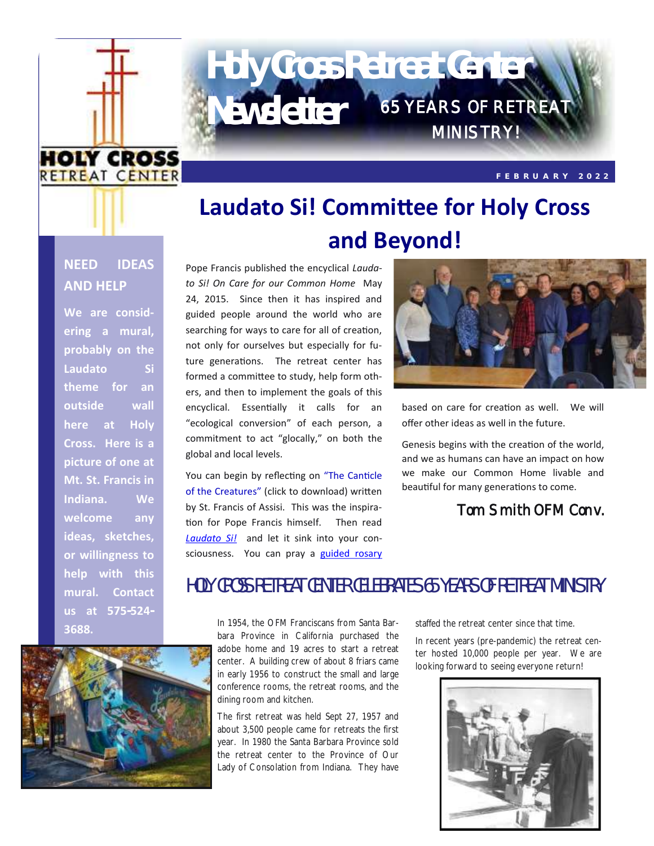

# 65 YEARS OF RETREAT **Newsletter** MINISTRY! **Holy Cross Retreat Center**

**F E B R U A R Y 2 0 2 2**

# **Laudato Si! Committee for Holy Cross and Beyond!**

### **NEED IDEAS AND HELP**

**We are considering a mural, probably on the Laudato Si theme for an outside wall here at Holy Cross. Here is a picture of one at Mt. St. Francis in Indiana. We welcome any ideas, sketches, or willingness to help with this mural. Contact us at 575-524- 3688.**

Pope Francis published the encyclical *Laudato Si! On Care for our Common Home* May 24, 2015. Since then it has inspired and guided people around the world who are searching for ways to care for all of creation, not only for ourselves but especially for future generations. The retreat center has formed a committee to study, help form others, and then to implement the goals of this encyclical. Essentially it calls for an "ecological conversion" of each person, a commitment to act "glocally," on both the global and local levels.

You can begin by reflecting on ["The Canticle](https://i.pinimg.com/originals/06/c4/60/06c46007f992da3903c8ed7ba908b143.jpg)  [of the Creatures"](https://i.pinimg.com/originals/06/c4/60/06c46007f992da3903c8ed7ba908b143.jpg) (click to download) written by St. Francis of Assisi. This was the inspiration for Pope Francis himself. Then read *[Laudato Si!](https://holycrossretreat.org/wp-content/uploads/2022/01/Laudato-Si-text.pdf)* and let it sink into your consciousness. You can pray a [guided rosary](https://holycrossretreat.org/wp-content/uploads/2022/01/Guided-Rosary-based-on-Laudato-Si-all-mysteries.pdf)



based on care for creation as well. We will offer other ideas as well in the future.

Genesis begins with the creation of the world, and we as humans can have an impact on how we make our Common Home livable and beautiful for many generations to come.

## Tom Smith OFM Conv.



# HOLY CROSS RETREAT CENTER CELEBRATES 65 YEARS OF RETREAT MINISTRY

In 1954, the OFM Franciscans from Santa Barbara Province in California purchased the adobe home and 19 acres to start a retreat center. A building crew of about 8 friars came in early 1956 to construct the small and large conference rooms, the retreat rooms, and the dining room and kitchen.

The first retreat was held Sept 27, 1957 and about 3,500 people came for retreats the first year. In 1980 the Santa Barbara Province sold the retreat center to the Province of Our Lady of Consolation from Indiana. They have staffed the retreat center since that time.

In recent years (pre-pandemic) the retreat center hosted 10,000 people per year. We are looking forward to seeing everyone return!

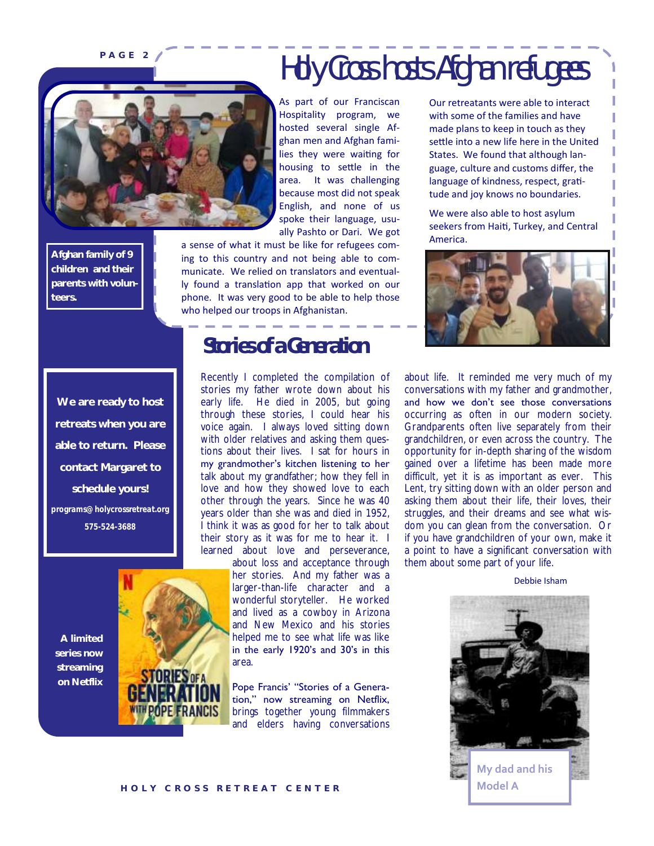# PAGE 2 A Holy Cross hosts Afghan refugees

**Afghan family of 9 children and their parents with volunteers.**

As part of our Franciscan Hospitality program, we hosted several single Afghan men and Afghan families they were waiting for housing to settle in the area. It was challenging because most did not speak English, and none of us spoke their language, usually Pashto or Dari. We got

a sense of what it must be like for refugees coming to this country and not being able to communicate. We relied on translators and eventually found a translation app that worked on our phone. It was very good to be able to help those who helped our troops in Afghanistan.

**We are ready to host retreats when you are able to return. Please contact Margaret to schedule yours!** *programs@holycrossretreat.org 575-524-3688* 

**A limited series now streaming on Netflix**

# **Stories of a Generation**

Recently I completed the compilation of stories my father wrote down about his early life. He died in 2005, but going through these stories, I could hear his voice again. I always loved sitting down with older relatives and asking them questions about their lives. I sat for hours in my grandmother's kitchen listening to her talk about my grandfather; how they fell in love and how they showed love to each other through the years. Since he was 40 years older than she was and died in 1952, I think it was as good for her to talk about their story as it was for me to hear it. I learned about love and perseverance,

> about loss and acceptance through her stories. And my father was a larger-than-life character and a wonderful storyteller. He worked and lived as a cowboy in Arizona and New Mexico and his stories helped me to see what life was like in the early 1920's and 30's in this area.

Pope Francis' "Stories of a Generation," now streaming on Netflix, brings together young filmmakers and elders having conversations Our retreatants were able to interact with some of the families and have made plans to keep in touch as they settle into a new life here in the United States. We found that although language, culture and customs differ, the language of kindness, respect, gratitude and joy knows no boundaries.

We were also able to host asylum seekers from Haiti, Turkey, and Central America.



about life. It reminded me very much of my conversations with my father and grandmother, and how we don't see those conversations occurring as often in our modern society. Grandparents often live separately from their grandchildren, or even across the country. The opportunity for in-depth sharing of the wisdom gained over a lifetime has been made more difficult, yet it is as important as ever. This Lent, try sitting down with an older person and asking them about their life, their loves, their struggles, and their dreams and see what wisdom you can glean from the conversation. Or if you have grandchildren of your own, make it a point to have a significant conversation with them about some part of your life.

Debbie Isham